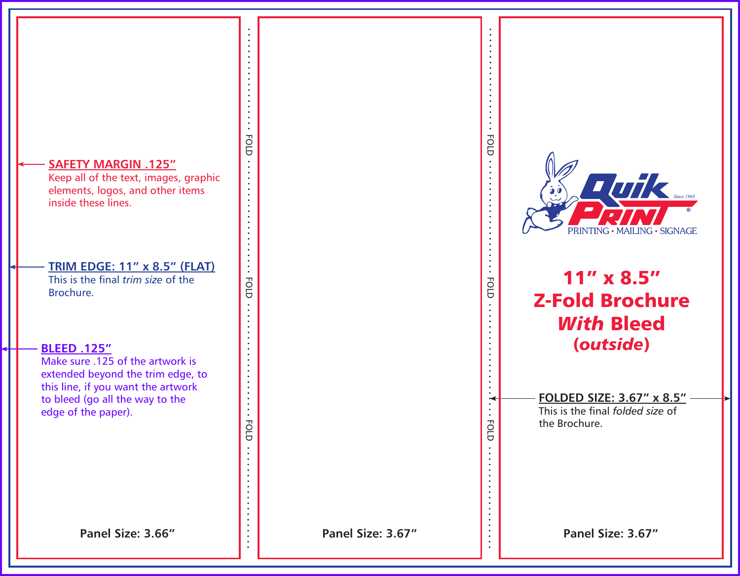## **SAFETY MARGIN .125"**

Keep all of the text, images, graphic elements, logos, and other items inside these lines.

## **TRIM EDGE: 11" x 8.5" (FLAT)**

FOLD FOLD FOLD

FOLD

**FOLD** 

**FOLD** 

This is the final *trim size* of the Brochure.

### **BLEED .125"**

Make sure .125 of the artwork is extended beyond the trim edge, to this line, if you want the artwork to bleed (go all the way to the edge of the paper).

 $T$ *uik* MAILING · SIGNAGE

## 11" x 8.5" Z-Fold Brochure *With* Bleed (*outside*)

FOLD FOLD FOLD

**FOLD** 

FOLD

**FOLD** 

**FOLDED SIZE: 3.67" x 8.5"** This is the final *folded size* of the Brochure.

**Panel Size: 3.66" Panel Size: 3.67" Panel Size: 3.67"**